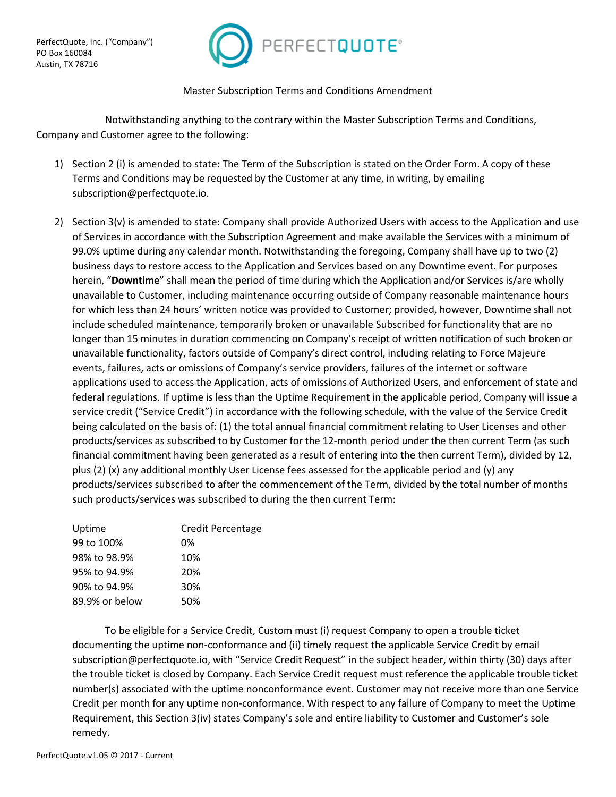

## Master Subscription Terms and Conditions Amendment

Notwithstanding anything to the contrary within the Master Subscription Terms and Conditions, Company and Customer agree to the following:

- 1) Section 2 (i) is amended to state: The Term of the Subscription is stated on the Order Form. A copy of these Terms and Conditions may be requested by the Customer at any time, in writing, by emailing subscription@perfectquote.io.
- 2) Section 3(v) is amended to state: Company shall provide Authorized Users with access to the Application and use of Services in accordance with the Subscription Agreement and make available the Services with a minimum of 99.0% uptime during any calendar month. Notwithstanding the foregoing, Company shall have up to two (2) business days to restore access to the Application and Services based on any Downtime event. For purposes herein, "**Downtime**" shall mean the period of time during which the Application and/or Services is/are wholly unavailable to Customer, including maintenance occurring outside of Company reasonable maintenance hours for which less than 24 hours' written notice was provided to Customer; provided, however, Downtime shall not include scheduled maintenance, temporarily broken or unavailable Subscribed for functionality that are no longer than 15 minutes in duration commencing on Company's receipt of written notification of such broken or unavailable functionality, factors outside of Company's direct control, including relating to Force Majeure events, failures, acts or omissions of Company's service providers, failures of the internet or software applications used to access the Application, acts of omissions of Authorized Users, and enforcement of state and federal regulations. If uptime is less than the Uptime Requirement in the applicable period, Company will issue a service credit ("Service Credit") in accordance with the following schedule, with the value of the Service Credit being calculated on the basis of: (1) the total annual financial commitment relating to User Licenses and other products/services as subscribed to by Customer for the 12-month period under the then current Term (as such financial commitment having been generated as a result of entering into the then current Term), divided by 12, plus (2) (x) any additional monthly User License fees assessed for the applicable period and (y) any products/services subscribed to after the commencement of the Term, divided by the total number of months such products/services was subscribed to during the then current Term:

| Uptime         | <b>Credit Percentage</b> |
|----------------|--------------------------|
| 99 to 100%     | 0%                       |
| 98% to 98.9%   | 10%                      |
| 95% to 94.9%   | 20%                      |
| 90% to 94.9%   | 30%                      |
| 89.9% or below | 50%                      |
|                |                          |

To be eligible for a Service Credit, Custom must (i) request Company to open a trouble ticket documenting the uptime non-conformance and (ii) timely request the applicable Service Credit by email subscription@perfectquote.io, with "Service Credit Request" in the subject header, within thirty (30) days after the trouble ticket is closed by Company. Each Service Credit request must reference the applicable trouble ticket number(s) associated with the uptime nonconformance event. Customer may not receive more than one Service Credit per month for any uptime non-conformance. With respect to any failure of Company to meet the Uptime Requirement, this Section 3(iv) states Company's sole and entire liability to Customer and Customer's sole remedy.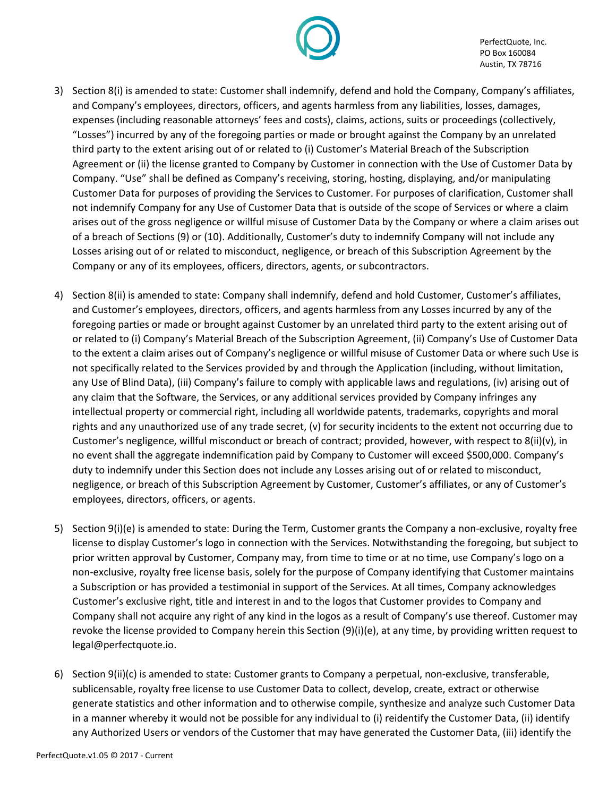

PerfectQuote, Inc. PO Box 160084 Austin, TX 78716

- 3) Section 8(i) is amended to state: Customer shall indemnify, defend and hold the Company, Company's affiliates, and Company's employees, directors, officers, and agents harmless from any liabilities, losses, damages, expenses (including reasonable attorneys' fees and costs), claims, actions, suits or proceedings (collectively, "Losses") incurred by any of the foregoing parties or made or brought against the Company by an unrelated third party to the extent arising out of or related to (i) Customer's Material Breach of the Subscription Agreement or (ii) the license granted to Company by Customer in connection with the Use of Customer Data by Company. "Use" shall be defined as Company's receiving, storing, hosting, displaying, and/or manipulating Customer Data for purposes of providing the Services to Customer. For purposes of clarification, Customer shall not indemnify Company for any Use of Customer Data that is outside of the scope of Services or where a claim arises out of the gross negligence or willful misuse of Customer Data by the Company or where a claim arises out of a breach of Sections (9) or (10). Additionally, Customer's duty to indemnify Company will not include any Losses arising out of or related to misconduct, negligence, or breach of this Subscription Agreement by the Company or any of its employees, officers, directors, agents, or subcontractors.
- 4) Section 8(ii) is amended to state: Company shall indemnify, defend and hold Customer, Customer's affiliates, and Customer's employees, directors, officers, and agents harmless from any Losses incurred by any of the foregoing parties or made or brought against Customer by an unrelated third party to the extent arising out of or related to (i) Company's Material Breach of the Subscription Agreement, (ii) Company's Use of Customer Data to the extent a claim arises out of Company's negligence or willful misuse of Customer Data or where such Use is not specifically related to the Services provided by and through the Application (including, without limitation, any Use of Blind Data), (iii) Company's failure to comply with applicable laws and regulations, (iv) arising out of any claim that the Software, the Services, or any additional services provided by Company infringes any intellectual property or commercial right, including all worldwide patents, trademarks, copyrights and moral rights and any unauthorized use of any trade secret, (v) for security incidents to the extent not occurring due to Customer's negligence, willful misconduct or breach of contract; provided, however, with respect to 8(ii)(v), in no event shall the aggregate indemnification paid by Company to Customer will exceed \$500,000. Company's duty to indemnify under this Section does not include any Losses arising out of or related to misconduct, negligence, or breach of this Subscription Agreement by Customer, Customer's affiliates, or any of Customer's employees, directors, officers, or agents.
- 5) Section 9(i)(e) is amended to state: During the Term, Customer grants the Company a non-exclusive, royalty free license to display Customer's logo in connection with the Services. Notwithstanding the foregoing, but subject to prior written approval by Customer, Company may, from time to time or at no time, use Company's logo on a non-exclusive, royalty free license basis, solely for the purpose of Company identifying that Customer maintains a Subscription or has provided a testimonial in support of the Services. At all times, Company acknowledges Customer's exclusive right, title and interest in and to the logos that Customer provides to Company and Company shall not acquire any right of any kind in the logos as a result of Company's use thereof. Customer may revoke the license provided to Company herein this Section (9)(i)(e), at any time, by providing written request to legal@perfectquote.io.
- 6) Section 9(ii)(c) is amended to state: Customer grants to Company a perpetual, non-exclusive, transferable, sublicensable, royalty free license to use Customer Data to collect, develop, create, extract or otherwise generate statistics and other information and to otherwise compile, synthesize and analyze such Customer Data in a manner whereby it would not be possible for any individual to (i) reidentify the Customer Data, (ii) identify any Authorized Users or vendors of the Customer that may have generated the Customer Data, (iii) identify the